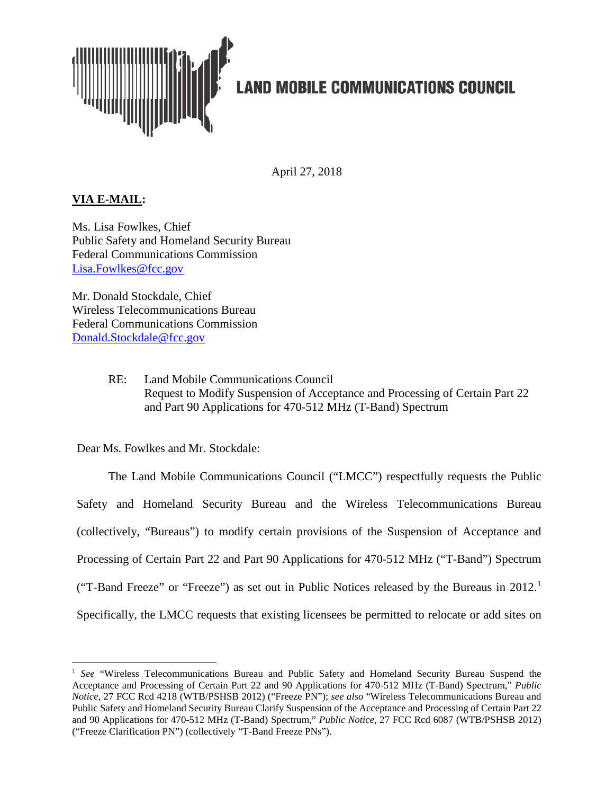

# **LAND MOBILE COMMUNICATIONS COUNCIL**

April 27, 2018

## **VIA E-MAIL:**

Ms. Lisa Fowlkes, Chief Public Safety and Homeland Security Bureau Federal Communications Commission [Lisa.Fowlkes@fcc.gov](mailto:Lisa.Fowlkes@fcc.gov)

Mr. Donald Stockdale, Chief Wireless Telecommunications Bureau Federal Communications Commission [Donald.Stockdale@fcc.gov](mailto:Donald.Stockdale@fcc.gov)

> RE: Land Mobile Communications Council Request to Modify Suspension of Acceptance and Processing of Certain Part 22 and Part 90 Applications for 470-512 MHz (T-Band) Spectrum

Dear Ms. Fowlkes and Mr. Stockdale:

The Land Mobile Communications Council ("LMCC") respectfully requests the Public Safety and Homeland Security Bureau and the Wireless Telecommunications Bureau (collectively, "Bureaus") to modify certain provisions of the Suspension of Acceptance and Processing of Certain Part 22 and Part 90 Applications for 470-512 MHz ("T-Band") Spectrum ("T-Band Freeze" or "Freeze") as set out in Public Notices released by the Bureaus in  $2012$  $2012$  $2012$ .<sup>1</sup> Specifically, the LMCC requests that existing licensees be permitted to relocate or add sites on

<span id="page-0-0"></span> <sup>1</sup> *See* "Wireless Telecommunications Bureau and Public Safety and Homeland Security Bureau Suspend the Acceptance and Processing of Certain Part 22 and 90 Applications for 470-512 MHz (T-Band) Spectrum," *Public Notice*, 27 FCC Rcd 4218 (WTB/PSHSB 2012) ("Freeze PN"); *see also* "Wireless Telecommunications Bureau and Public Safety and Homeland Security Bureau Clarify Suspension of the Acceptance and Processing of Certain Part 22 and 90 Applications for 470-512 MHz (T-Band) Spectrum," *Public Notice*, 27 FCC Rcd 6087 (WTB/PSHSB 2012) ("Freeze Clarification PN") (collectively "T-Band Freeze PNs").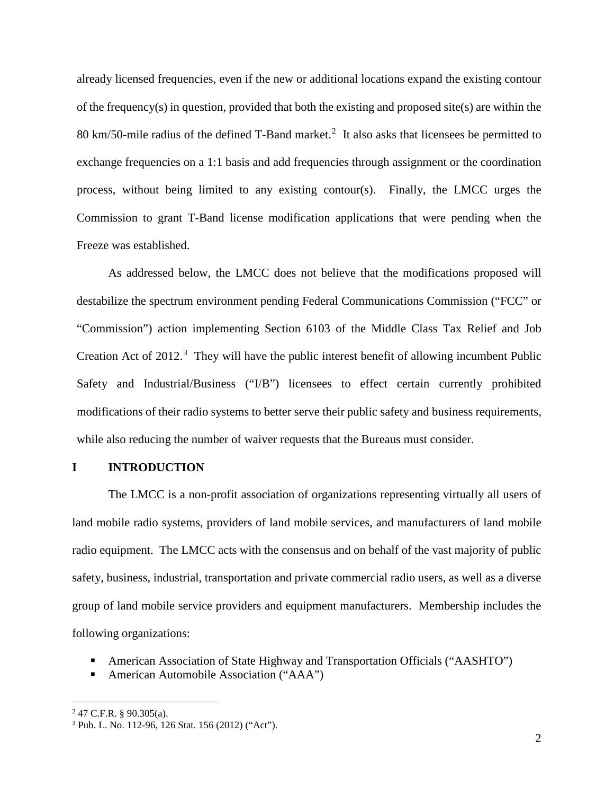already licensed frequencies, even if the new or additional locations expand the existing contour of the frequency(s) in question, provided that both the existing and proposed site(s) are within the 80 km/50-mile radius of the defined  $T$ -Band market.<sup>[2](#page-1-0)</sup> It also asks that licensees be permitted to exchange frequencies on a 1:1 basis and add frequencies through assignment or the coordination process, without being limited to any existing contour(s). Finally, the LMCC urges the Commission to grant T-Band license modification applications that were pending when the Freeze was established.

As addressed below, the LMCC does not believe that the modifications proposed will destabilize the spectrum environment pending Federal Communications Commission ("FCC" or "Commission") action implementing Section 6103 of the Middle Class Tax Relief and Job Creation Act of  $2012$ .<sup>[3](#page-1-1)</sup> They will have the public interest benefit of allowing incumbent Public Safety and Industrial/Business ("I/B") licensees to effect certain currently prohibited modifications of their radio systems to better serve their public safety and business requirements, while also reducing the number of waiver requests that the Bureaus must consider.

## **I INTRODUCTION**

The LMCC is a non-profit association of organizations representing virtually all users of land mobile radio systems, providers of land mobile services, and manufacturers of land mobile radio equipment. The LMCC acts with the consensus and on behalf of the vast majority of public safety, business, industrial, transportation and private commercial radio users, as well as a diverse group of land mobile service providers and equipment manufacturers. Membership includes the following organizations:

- American Association of State Highway and Transportation Officials ("AASHTO")
- American Automobile Association ("AAA")

<span id="page-1-0"></span> $2$  47 C.F.R. § 90.305(a).

<span id="page-1-1"></span><sup>3</sup> Pub. L. No. 112-96, 126 Stat. 156 (2012) ("Act").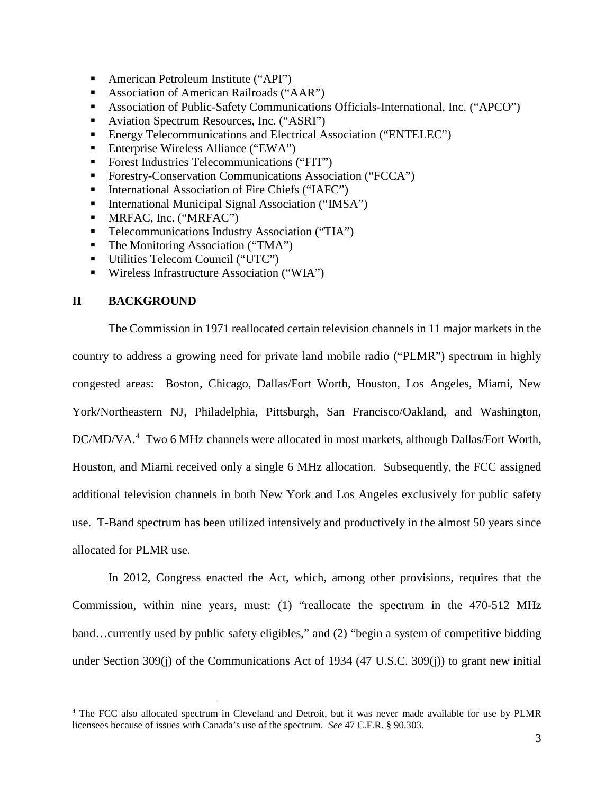- American Petroleum Institute ("API")
- Association of American Railroads ("AAR")
- Association of Public-Safety Communications Officials-International, Inc. ("APCO")
- Aviation Spectrum Resources, Inc. ("ASRI")
- **Energy Telecommunications and Electrical Association ("ENTELEC")**
- Enterprise Wireless Alliance ("EWA")
- Forest Industries Telecommunications ("FIT")
- **Forestry-Conservation Communications Association ("FCCA")**
- International Association of Fire Chiefs ("IAFC")
- International Municipal Signal Association ("IMSA")
- **MRFAC, Inc. ("MRFAC")**
- **Telecommunications Industry Association ("TIA")**
- $\blacksquare$  The Monitoring Association ("TMA")
- Utilities Telecom Council ("UTC")
- Wireless Infrastructure Association ("WIA")

## **II BACKGROUND**

The Commission in 1971 reallocated certain television channels in 11 major markets in the country to address a growing need for private land mobile radio ("PLMR") spectrum in highly congested areas: Boston, Chicago, Dallas/Fort Worth, Houston, Los Angeles, Miami, New York/Northeastern NJ, Philadelphia, Pittsburgh, San Francisco/Oakland, and Washington, DC/MD/VA.<sup>[4](#page-2-0)</sup> Two 6 MHz channels were allocated in most markets, although Dallas/Fort Worth, Houston, and Miami received only a single 6 MHz allocation. Subsequently, the FCC assigned additional television channels in both New York and Los Angeles exclusively for public safety use. T-Band spectrum has been utilized intensively and productively in the almost 50 years since allocated for PLMR use.

In 2012, Congress enacted the Act, which, among other provisions, requires that the Commission, within nine years, must: (1) "reallocate the spectrum in the 470-512 MHz band…currently used by public safety eligibles," and (2) "begin a system of competitive bidding under Section 309(j) of the Communications Act of 1934 (47 U.S.C. 309(j)) to grant new initial

<span id="page-2-0"></span> <sup>4</sup> The FCC also allocated spectrum in Cleveland and Detroit, but it was never made available for use by PLMR licensees because of issues with Canada's use of the spectrum. *See* 47 C.F.R. § 90.303.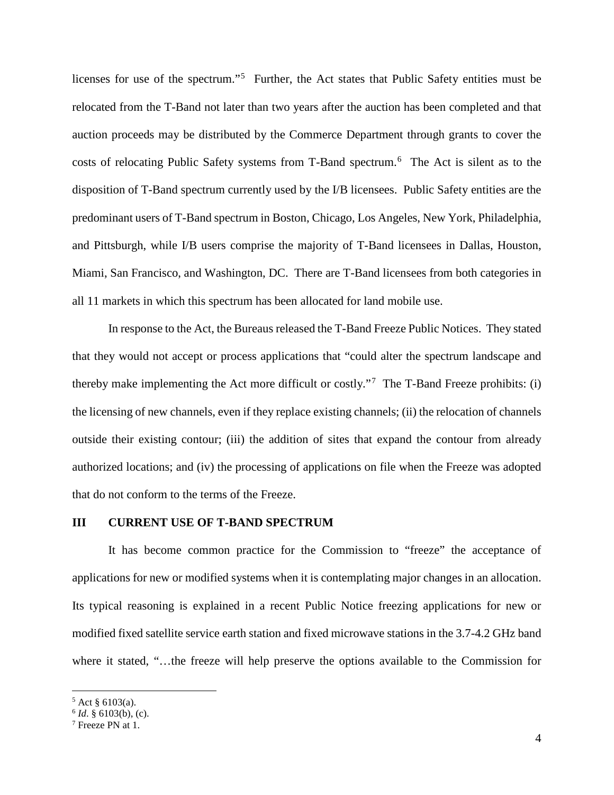licenses for use of the spectrum."<sup>[5](#page-3-0)</sup> Further, the Act states that Public Safety entities must be relocated from the T-Band not later than two years after the auction has been completed and that auction proceeds may be distributed by the Commerce Department through grants to cover the costs of relocating Public Safety systems from T-Band spectrum.<sup>[6](#page-3-1)</sup> The Act is silent as to the disposition of T-Band spectrum currently used by the I/B licensees. Public Safety entities are the predominant users of T-Band spectrum in Boston, Chicago, Los Angeles, New York, Philadelphia, and Pittsburgh, while I/B users comprise the majority of T-Band licensees in Dallas, Houston, Miami, San Francisco, and Washington, DC. There are T-Band licensees from both categories in all 11 markets in which this spectrum has been allocated for land mobile use.

In response to the Act, the Bureaus released the T-Band Freeze Public Notices. They stated that they would not accept or process applications that "could alter the spectrum landscape and thereby make implementing the Act more difficult or costly."<sup>[7](#page-3-2)</sup> The T-Band Freeze prohibits: (i) the licensing of new channels, even if they replace existing channels; (ii) the relocation of channels outside their existing contour; (iii) the addition of sites that expand the contour from already authorized locations; and (iv) the processing of applications on file when the Freeze was adopted that do not conform to the terms of the Freeze.

### **III CURRENT USE OF T-BAND SPECTRUM**

It has become common practice for the Commission to "freeze" the acceptance of applications for new or modified systems when it is contemplating major changes in an allocation. Its typical reasoning is explained in a recent Public Notice freezing applications for new or modified fixed satellite service earth station and fixed microwave stations in the 3.7-4.2 GHz band where it stated, "…the freeze will help preserve the options available to the Commission for

<span id="page-3-0"></span> $5$  Act § 6103(a).

<span id="page-3-1"></span> $6$  *Id.* § 6103(b), (c).

<span id="page-3-2"></span> $7$  Freeze PN at 1.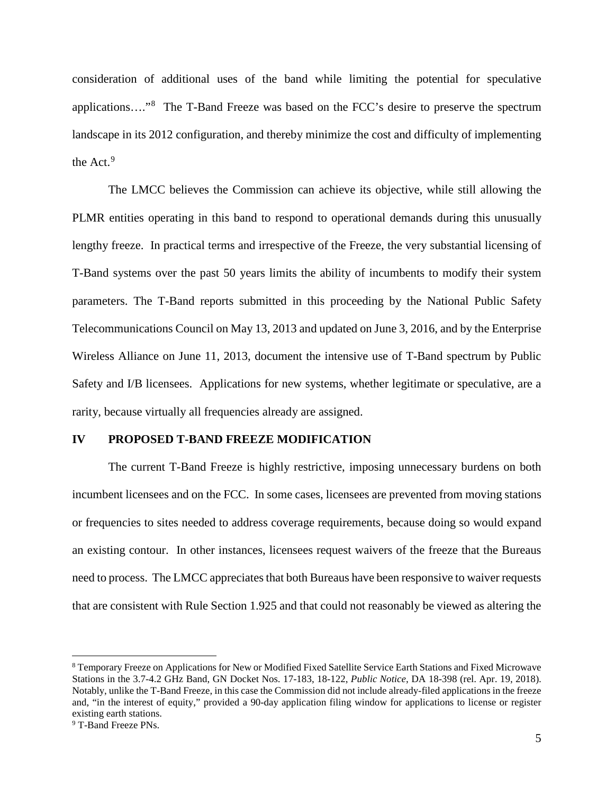consideration of additional uses of the band while limiting the potential for speculative applications...."<sup>[8](#page-4-0)</sup> The T-Band Freeze was based on the FCC's desire to preserve the spectrum landscape in its 2012 configuration, and thereby minimize the cost and difficulty of implementing the Act.<sup>[9](#page-4-1)</sup>

The LMCC believes the Commission can achieve its objective, while still allowing the PLMR entities operating in this band to respond to operational demands during this unusually lengthy freeze. In practical terms and irrespective of the Freeze, the very substantial licensing of T-Band systems over the past 50 years limits the ability of incumbents to modify their system parameters. The T-Band reports submitted in this proceeding by the National Public Safety Telecommunications Council on May 13, 2013 and updated on June 3, 2016, and by the Enterprise Wireless Alliance on June 11, 2013, document the intensive use of T-Band spectrum by Public Safety and I/B licensees. Applications for new systems, whether legitimate or speculative, are a rarity, because virtually all frequencies already are assigned.

#### **IV PROPOSED T-BAND FREEZE MODIFICATION**

The current T-Band Freeze is highly restrictive, imposing unnecessary burdens on both incumbent licensees and on the FCC. In some cases, licensees are prevented from moving stations or frequencies to sites needed to address coverage requirements, because doing so would expand an existing contour. In other instances, licensees request waivers of the freeze that the Bureaus need to process. The LMCC appreciates that both Bureaus have been responsive to waiver requests that are consistent with Rule Section 1.925 and that could not reasonably be viewed as altering the

<span id="page-4-1"></span><span id="page-4-0"></span> <sup>8</sup> Temporary Freeze on Applications for New or Modified Fixed Satellite Service Earth Stations and Fixed Microwave Stations in the 3.7-4.2 GHz Band, GN Docket Nos. 17-183, 18-122, *Public Notice*, DA 18-398 (rel. Apr. 19, 2018). Notably, unlike the T-Band Freeze, in this case the Commission did not include already-filed applications in the freeze and, "in the interest of equity," provided a 90-day application filing window for applications to license or register existing earth stations. <sup>9</sup> T-Band Freeze PNs.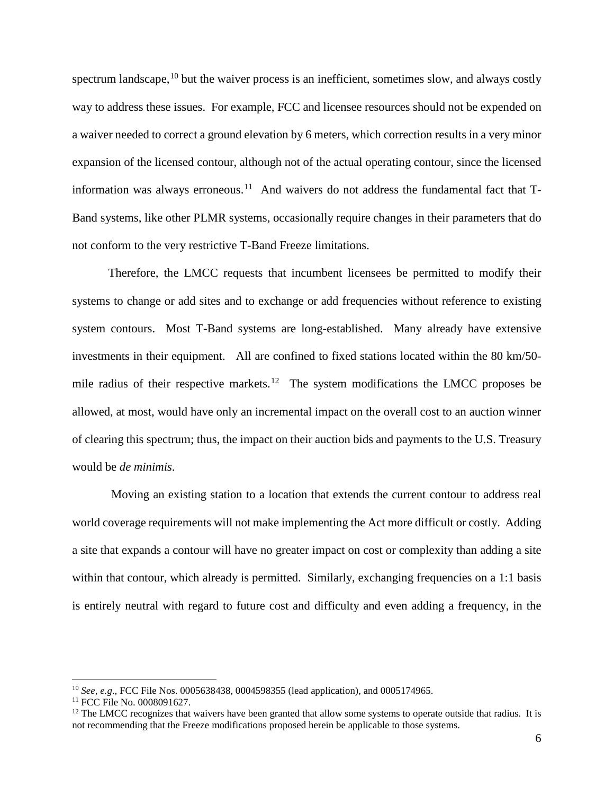spectrum landscape,  $10$  but the waiver process is an inefficient, sometimes slow, and always costly way to address these issues. For example, FCC and licensee resources should not be expended on a waiver needed to correct a ground elevation by 6 meters, which correction results in a very minor expansion of the licensed contour, although not of the actual operating contour, since the licensed information was always erroneous.<sup>[11](#page-5-1)</sup> And waivers do not address the fundamental fact that  $T-$ Band systems, like other PLMR systems, occasionally require changes in their parameters that do not conform to the very restrictive T-Band Freeze limitations.

Therefore, the LMCC requests that incumbent licensees be permitted to modify their systems to change or add sites and to exchange or add frequencies without reference to existing system contours. Most T-Band systems are long-established. Many already have extensive investments in their equipment. All are confined to fixed stations located within the 80 km/50 mile radius of their respective markets.<sup>12</sup> The system modifications the LMCC proposes be allowed, at most, would have only an incremental impact on the overall cost to an auction winner of clearing this spectrum; thus, the impact on their auction bids and payments to the U.S. Treasury would be *de minimis*.

Moving an existing station to a location that extends the current contour to address real world coverage requirements will not make implementing the Act more difficult or costly. Adding a site that expands a contour will have no greater impact on cost or complexity than adding a site within that contour, which already is permitted. Similarly, exchanging frequencies on a 1:1 basis is entirely neutral with regard to future cost and difficulty and even adding a frequency, in the

<span id="page-5-0"></span> <sup>10</sup> *See, e.g*., FCC File Nos. 0005638438, 0004598355 (lead application), and 0005174965.

<span id="page-5-1"></span><sup>&</sup>lt;sup>11</sup> FCC File No. 0008091627.

<span id="page-5-2"></span> $12$  The LMCC recognizes that waivers have been granted that allow some systems to operate outside that radius. It is not recommending that the Freeze modifications proposed herein be applicable to those systems.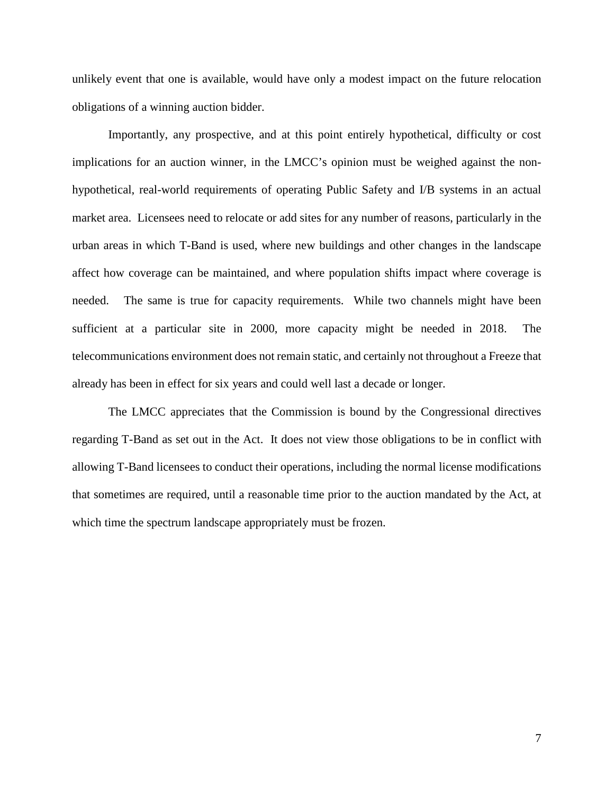unlikely event that one is available, would have only a modest impact on the future relocation obligations of a winning auction bidder.

Importantly, any prospective, and at this point entirely hypothetical, difficulty or cost implications for an auction winner, in the LMCC's opinion must be weighed against the nonhypothetical, real-world requirements of operating Public Safety and I/B systems in an actual market area. Licensees need to relocate or add sites for any number of reasons, particularly in the urban areas in which T-Band is used, where new buildings and other changes in the landscape affect how coverage can be maintained, and where population shifts impact where coverage is needed. The same is true for capacity requirements. While two channels might have been sufficient at a particular site in 2000, more capacity might be needed in 2018. The telecommunications environment does not remain static, and certainly not throughout a Freeze that already has been in effect for six years and could well last a decade or longer.

The LMCC appreciates that the Commission is bound by the Congressional directives regarding T-Band as set out in the Act. It does not view those obligations to be in conflict with allowing T-Band licensees to conduct their operations, including the normal license modifications that sometimes are required, until a reasonable time prior to the auction mandated by the Act, at which time the spectrum landscape appropriately must be frozen.